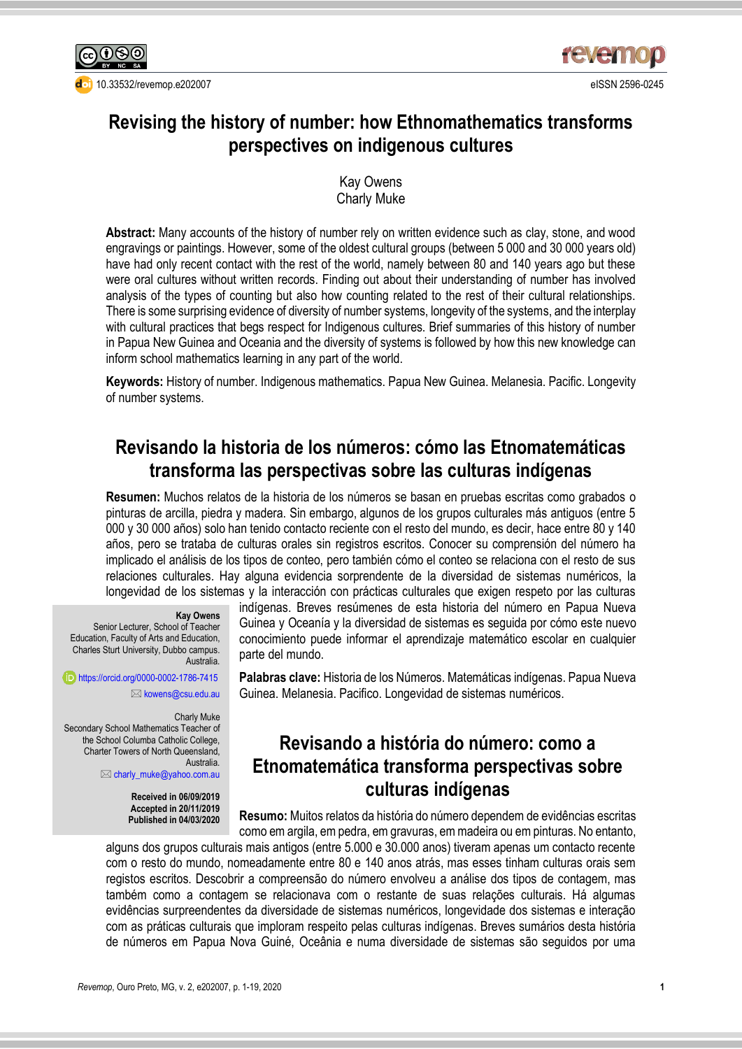

[10.33532/revemop.e202007](http://dx.doi.org/10.33532/revemop.e202007) eISSN 2596-0245



# **Revising the history of number: how Ethnomathematics transforms perspectives on indigenous cultures**

Kay Owens Charly Muke

**Abstract:** Many accounts of the history of number rely on written evidence such as clay, stone, and wood engravings or paintings. However, some of the oldest cultural groups (between 5 000 and 30 000 years old) have had only recent contact with the rest of the world, namely between 80 and 140 years ago but these were oral cultures without written records. Finding out about their understanding of number has involved analysis of the types of counting but also how counting related to the rest of their cultural relationships. There is some surprising evidence of diversity of number systems, longevity of the systems, and the interplay with cultural practices that begs respect for Indigenous cultures. Brief summaries of this history of number in Papua New Guinea and Oceania and the diversity of systems is followed by how this new knowledge can inform school mathematics learning in any part of the world.

**Keywords:** History of number. Indigenous mathematics. Papua New Guinea. Melanesia. Pacific. Longevity of number systems.

# **Revisando la historia de los números: cómo las Etnomatemáticas transforma las perspectivas sobre las culturas indígenas**

**Resumen:** Muchos relatos de la historia de los números se basan en pruebas escritas como grabados o pinturas de arcilla, piedra y madera. Sin embargo, algunos de los grupos culturales más antiguos (entre 5 000 y 30 000 años) solo han tenido contacto reciente con el resto del mundo, es decir, hace entre 80 y 140 años, pero se trataba de culturas orales sin registros escritos. Conocer su comprensión del número ha implicado el análisis de los tipos de conteo, pero también cómo el conteo se relaciona con el resto de sus relaciones culturales. Hay alguna evidencia sorprendente de la diversidad de sistemas numéricos, la longevidad de los sistemas y la interacción con prácticas culturales que exigen respeto por las culturas

#### **Kay Owens**

Senior Lecturer, School of Teacher Education, Faculty of Arts and Education, Charles Sturt University, Dubbo campus. Australia.

<https://orcid.org/0000-0002-1786-7415> **E**[kowens@csu.edu.au](mailto:kowens@csu.edu.au)

Charly Muke Secondary School Mathematics Teacher of the School Columba Catholic College, Charter Towers of North Queensland, Australia.

[charly\\_muke@yahoo.com.au](mailto:charly_muke@yahoo.com.au)

**Received in 06/09/2019 Accepted in 20/11/2019 Published in 04/03/2020** indígenas. Breves resúmenes de esta historia del número en Papua Nueva Guinea y Oceanía y la diversidad de sistemas es seguida por cómo este nuevo conocimiento puede informar el aprendizaje matemático escolar en cualquier parte del mundo.

**Palabras clave:** Historia de los Números. Matemáticas indígenas. Papua Nueva Guinea. Melanesia. Pacifico. Longevidad de sistemas numéricos.

## **Revisando a história do número: como a Etnomatemática transforma perspectivas sobre culturas indígenas**

**Resumo:** Muitos relatos da história do número dependem de evidências escritas como em argila, em pedra, em gravuras, em madeira ou em pinturas. No entanto,

alguns dos grupos culturais mais antigos (entre 5.000 e 30.000 anos) tiveram apenas um contacto recente com o resto do mundo, nomeadamente entre 80 e 140 anos atrás, mas esses tinham culturas orais sem registos escritos. Descobrir a compreensão do número envolveu a análise dos tipos de contagem, mas também como a contagem se relacionava com o restante de suas relações culturais. Há algumas evidências surpreendentes da diversidade de sistemas numéricos, longevidade dos sistemas e interação com as práticas culturais que imploram respeito pelas culturas indígenas. Breves sumários desta história de números em Papua Nova Guiné, Oceânia e numa diversidade de sistemas são seguidos por uma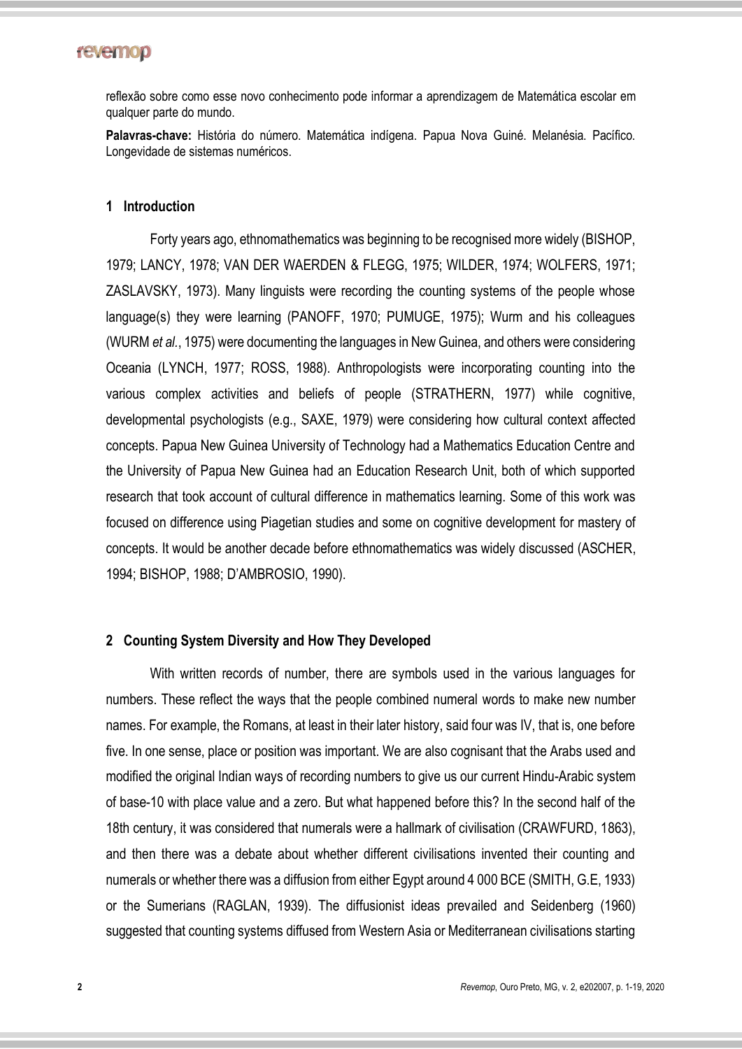reflexão sobre como esse novo conhecimento pode informar a aprendizagem de Matemática escolar em qualquer parte do mundo.

**Palavras-chave:** História do número. Matemática indígena. Papua Nova Guiné. Melanésia. Pacífico. Longevidade de sistemas numéricos.

#### **1 Introduction**

Forty years ago, ethnomathematics was beginning to be recognised more widely (BISHOP, 1979; LANCY, 1978; VAN DER WAERDEN & FLEGG, 1975; WILDER, 1974; WOLFERS, 1971; ZASLAVSKY, 1973). Many linguists were recording the counting systems of the people whose language(s) they were learning (PANOFF, 1970; PUMUGE, 1975); Wurm and his colleagues (WURM *et al.*, 1975) were documenting the languages in New Guinea, and others were considering Oceania (LYNCH, 1977; ROSS, 1988). Anthropologists were incorporating counting into the various complex activities and beliefs of people (STRATHERN, 1977) while cognitive, developmental psychologists (e.g., SAXE, 1979) were considering how cultural context affected concepts. Papua New Guinea University of Technology had a Mathematics Education Centre and the University of Papua New Guinea had an Education Research Unit, both of which supported research that took account of cultural difference in mathematics learning. Some of this work was focused on difference using Piagetian studies and some on cognitive development for mastery of concepts. It would be another decade before ethnomathematics was widely discussed (ASCHER, 1994; BISHOP, 1988; D'AMBROSIO, 1990).

#### **2 Counting System Diversity and How They Developed**

With written records of number, there are symbols used in the various languages for numbers. These reflect the ways that the people combined numeral words to make new number names. For example, the Romans, at least in their later history, said four was IV, that is, one before five. In one sense, place or position was important. We are also cognisant that the Arabs used and modified the original Indian ways of recording numbers to give us our current Hindu-Arabic system of base-10 with place value and a zero. But what happened before this? In the second half of the 18th century, it was considered that numerals were a hallmark of civilisation (CRAWFURD, 1863), and then there was a debate about whether different civilisations invented their counting and numerals or whether there was a diffusion from either Egypt around 4 000 BCE (SMITH, G.E, 1933) or the Sumerians (RAGLAN, 1939). The diffusionist ideas prevailed and Seidenberg (1960) suggested that counting systems diffused from Western Asia or Mediterranean civilisations starting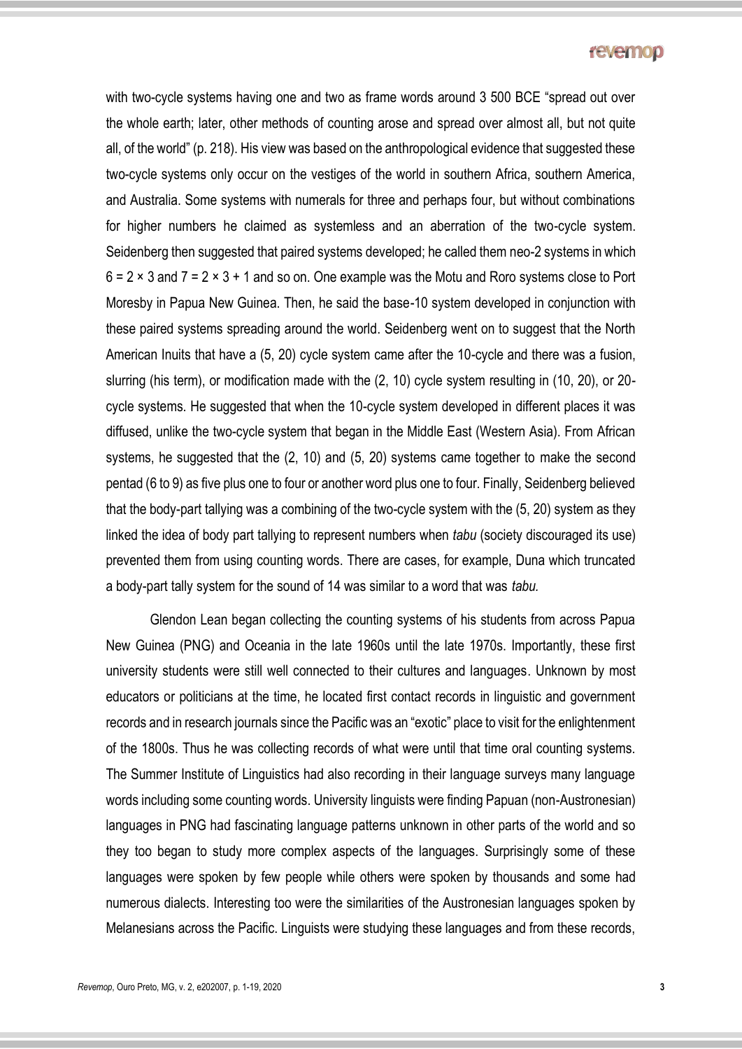with two-cycle systems having one and two as frame words around 3 500 BCE "spread out over the whole earth; later, other methods of counting arose and spread over almost all, but not quite all, of the world" (p. 218). His view was based on the anthropological evidence that suggested these two-cycle systems only occur on the vestiges of the world in southern Africa, southern America, and Australia. Some systems with numerals for three and perhaps four, but without combinations for higher numbers he claimed as systemless and an aberration of the two-cycle system. Seidenberg then suggested that paired systems developed; he called them neo-2 systems in which  $6 = 2 \times 3$  and  $7 = 2 \times 3 + 1$  and so on. One example was the Motu and Roro systems close to Port Moresby in Papua New Guinea. Then, he said the base-10 system developed in conjunction with these paired systems spreading around the world. Seidenberg went on to suggest that the North American Inuits that have a (5, 20) cycle system came after the 10-cycle and there was a fusion, slurring (his term), or modification made with the (2, 10) cycle system resulting in (10, 20), or 20 cycle systems. He suggested that when the 10-cycle system developed in different places it was diffused, unlike the two-cycle system that began in the Middle East (Western Asia). From African systems, he suggested that the (2, 10) and (5, 20) systems came together to make the second pentad (6 to 9) as five plus one to four or another word plus one to four. Finally, Seidenberg believed that the body-part tallying was a combining of the two-cycle system with the (5, 20) system as they linked the idea of body part tallying to represent numbers when *tabu* (society discouraged its use) prevented them from using counting words. There are cases, for example, Duna which truncated a body-part tally system for the sound of 14 was similar to a word that was *tabu.*

Glendon Lean began collecting the counting systems of his students from across Papua New Guinea (PNG) and Oceania in the late 1960s until the late 1970s. Importantly, these first university students were still well connected to their cultures and languages. Unknown by most educators or politicians at the time, he located first contact records in linguistic and government records and in research journals since the Pacific was an "exotic" place to visit for the enlightenment of the 1800s. Thus he was collecting records of what were until that time oral counting systems. The Summer Institute of Linguistics had also recording in their language surveys many language words including some counting words. University linguists were finding Papuan (non-Austronesian) languages in PNG had fascinating language patterns unknown in other parts of the world and so they too began to study more complex aspects of the languages. Surprisingly some of these languages were spoken by few people while others were spoken by thousands and some had numerous dialects. Interesting too were the similarities of the Austronesian languages spoken by Melanesians across the Pacific. Linguists were studying these languages and from these records,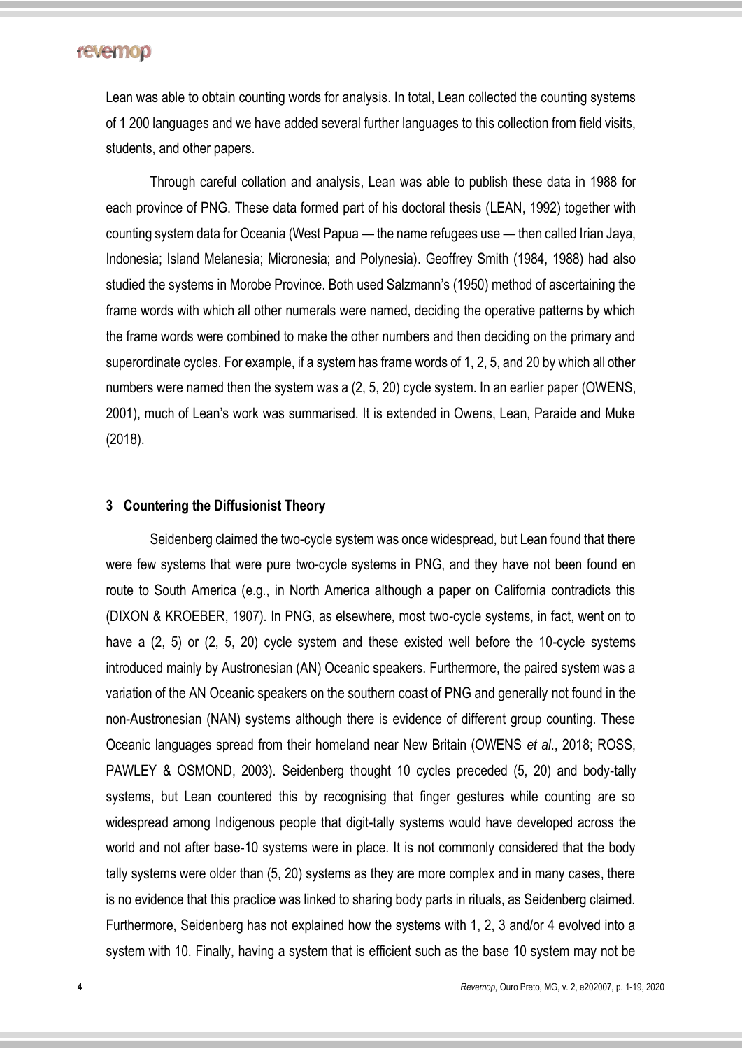Lean was able to obtain counting words for analysis. In total, Lean collected the counting systems of 1 200 languages and we have added several further languages to this collection from field visits, students, and other papers.

Through careful collation and analysis, Lean was able to publish these data in 1988 for each province of PNG. These data formed part of his doctoral thesis (LEAN, 1992) together with counting system data for Oceania (West Papua — the name refugees use — then called Irian Jaya, Indonesia; Island Melanesia; Micronesia; and Polynesia). Geoffrey Smith (1984, 1988) had also studied the systems in Morobe Province. Both used Salzmann's (1950) method of ascertaining the frame words with which all other numerals were named, deciding the operative patterns by which the frame words were combined to make the other numbers and then deciding on the primary and superordinate cycles. For example, if a system has frame words of 1, 2, 5, and 20 by which all other numbers were named then the system was a (2, 5, 20) cycle system. In an earlier paper (OWENS, 2001), much of Lean's work was summarised. It is extended in Owens, Lean, Paraide and Muke (2018).

#### **3 Countering the Diffusionist Theory**

Seidenberg claimed the two-cycle system was once widespread, but Lean found that there were few systems that were pure two-cycle systems in PNG, and they have not been found en route to South America (e.g., in North America although a paper on California contradicts this (DIXON & KROEBER, 1907). In PNG, as elsewhere, most two-cycle systems, in fact, went on to have a (2, 5) or (2, 5, 20) cycle system and these existed well before the 10-cycle systems introduced mainly by Austronesian (AN) Oceanic speakers. Furthermore, the paired system was a variation of the AN Oceanic speakers on the southern coast of PNG and generally not found in the non-Austronesian (NAN) systems although there is evidence of different group counting. These Oceanic languages spread from their homeland near New Britain (OWENS *et al*., 2018; ROSS, PAWLEY & OSMOND, 2003). Seidenberg thought 10 cycles preceded (5, 20) and body-tally systems, but Lean countered this by recognising that finger gestures while counting are so widespread among Indigenous people that digit-tally systems would have developed across the world and not after base-10 systems were in place. It is not commonly considered that the body tally systems were older than (5, 20) systems as they are more complex and in many cases, there is no evidence that this practice was linked to sharing body parts in rituals, as Seidenberg claimed. Furthermore, Seidenberg has not explained how the systems with 1, 2, 3 and/or 4 evolved into a system with 10. Finally, having a system that is efficient such as the base 10 system may not be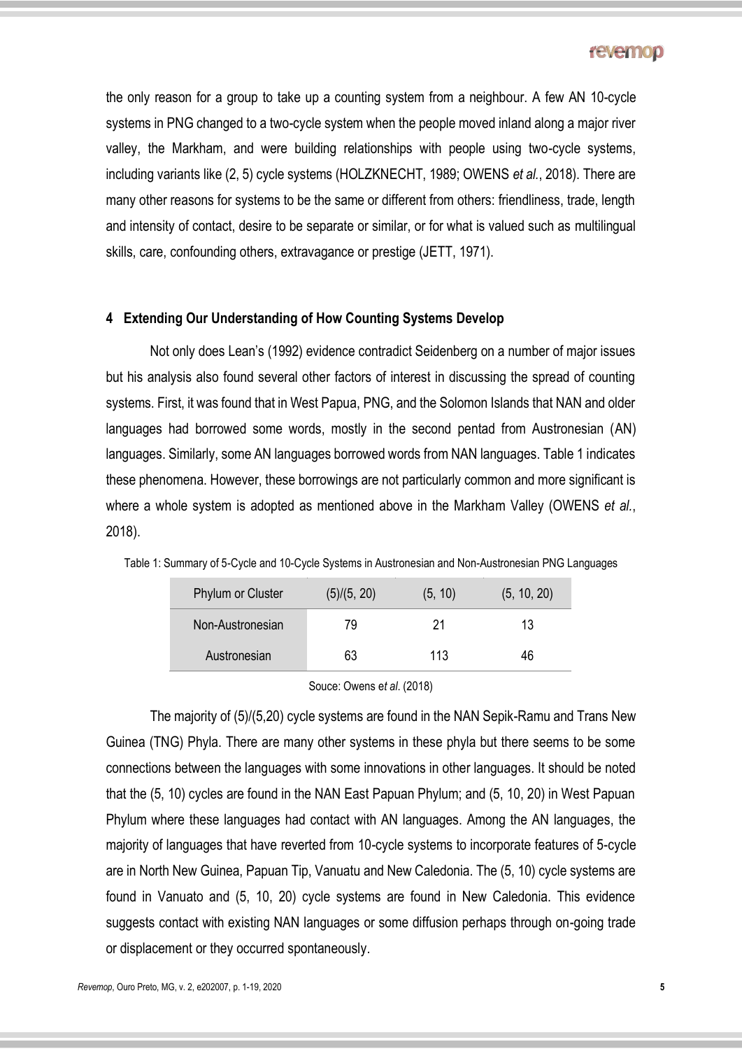the only reason for a group to take up a counting system from a neighbour. A few AN 10-cycle systems in PNG changed to a two-cycle system when the people moved inland along a major river valley, the Markham, and were building relationships with people using two-cycle systems, including variants like (2, 5) cycle systems (HOLZKNECHT, 1989; OWENS *et al.*, 2018). There are many other reasons for systems to be the same or different from others: friendliness, trade, length and intensity of contact, desire to be separate or similar, or for what is valued such as multilingual skills, care, confounding others, extravagance or prestige (JETT, 1971).

#### **4 Extending Our Understanding of How Counting Systems Develop**

Not only does Lean's (1992) evidence contradict Seidenberg on a number of major issues but his analysis also found several other factors of interest in discussing the spread of counting systems. First, it was found that in West Papua, PNG, and the Solomon Islands that NAN and older languages had borrowed some words, mostly in the second pentad from Austronesian (AN) languages. Similarly, some AN languages borrowed words from NAN languages. Table 1 indicates these phenomena. However, these borrowings are not particularly common and more significant is where a whole system is adopted as mentioned above in the Markham Valley (OWENS *et al.*, 2018).

| <b>Phylum or Cluster</b> | (5)/(5, 20) | (5, 10) | (5, 10, 20) |  |
|--------------------------|-------------|---------|-------------|--|
| Non-Austronesian         | 79          | 21      | 13          |  |
| Austronesian             | 63          | 113     | 46          |  |

Table 1: Summary of 5-Cycle and 10-Cycle Systems in Austronesian and Non-Austronesian PNG Languages

Souce: Owens e*t al*. (2018)

The majority of (5)/(5,20) cycle systems are found in the NAN Sepik-Ramu and Trans New Guinea (TNG) Phyla. There are many other systems in these phyla but there seems to be some connections between the languages with some innovations in other languages. It should be noted that the (5, 10) cycles are found in the NAN East Papuan Phylum; and (5, 10, 20) in West Papuan Phylum where these languages had contact with AN languages. Among the AN languages, the majority of languages that have reverted from 10-cycle systems to incorporate features of 5-cycle are in North New Guinea, Papuan Tip, Vanuatu and New Caledonia. The (5, 10) cycle systems are found in Vanuato and (5, 10, 20) cycle systems are found in New Caledonia. This evidence suggests contact with existing NAN languages or some diffusion perhaps through on-going trade or displacement or they occurred spontaneously.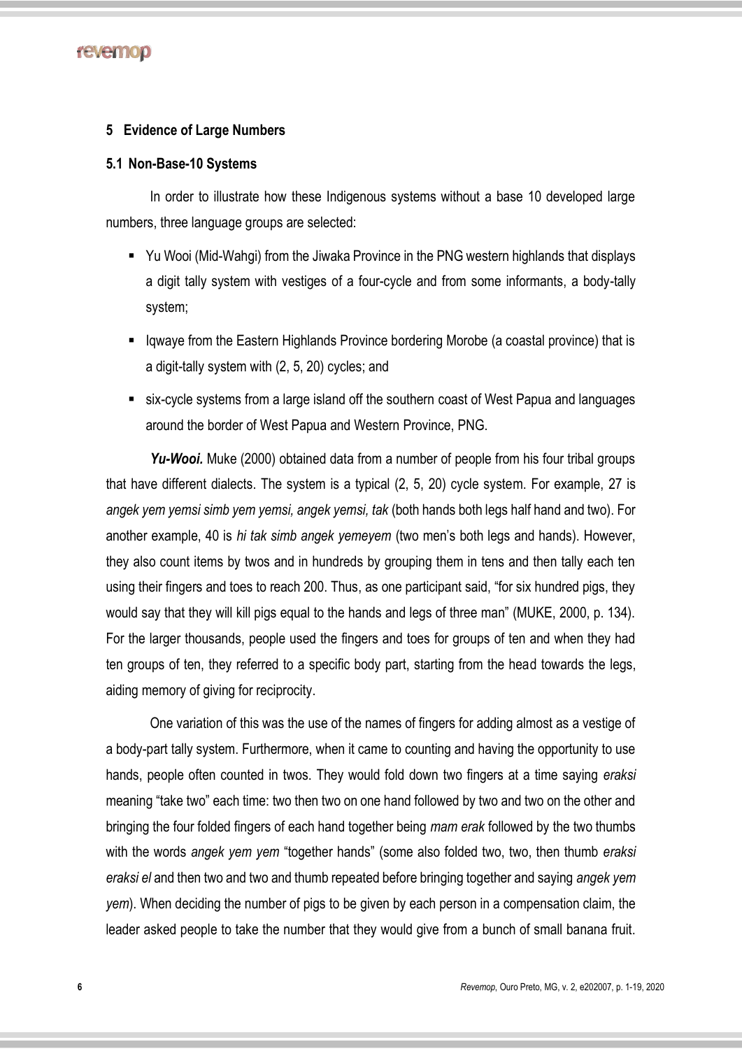

#### **5 Evidence of Large Numbers**

#### **5.1 Non-Base-10 Systems**

In order to illustrate how these Indigenous systems without a base 10 developed large numbers, three language groups are selected:

- Yu Wooi (Mid-Wahgi) from the Jiwaka Province in the PNG western highlands that displays a digit tally system with vestiges of a four-cycle and from some informants, a body-tally system;
- Iqwaye from the Eastern Highlands Province bordering Morobe (a coastal province) that is a digit-tally system with (2, 5, 20) cycles; and
- six-cycle systems from a large island off the southern coast of West Papua and languages around the border of West Papua and Western Province, PNG.

*Yu-Wooi.* Muke (2000) obtained data from a number of people from his four tribal groups that have different dialects. The system is a typical (2, 5, 20) cycle system. For example, 27 is *angek yem yemsi simb yem yemsi, angek yemsi, tak* (both hands both legs half hand and two). For another example, 40 is *hi tak simb angek yemeyem* (two men's both legs and hands). However, they also count items by twos and in hundreds by grouping them in tens and then tally each ten using their fingers and toes to reach 200. Thus, as one participant said, "for six hundred pigs, they would say that they will kill pigs equal to the hands and legs of three man" (MUKE, 2000, p. 134). For the larger thousands, people used the fingers and toes for groups of ten and when they had ten groups of ten, they referred to a specific body part, starting from the head towards the legs, aiding memory of giving for reciprocity.

One variation of this was the use of the names of fingers for adding almost as a vestige of a body-part tally system. Furthermore, when it came to counting and having the opportunity to use hands, people often counted in twos. They would fold down two fingers at a time saying *eraksi*  meaning "take two" each time: two then two on one hand followed by two and two on the other and bringing the four folded fingers of each hand together being *mam erak* followed by the two thumbs with the words *angek yem yem* "together hands" (some also folded two, two, then thumb *eraksi eraksi el* and then two and two and thumb repeated before bringing together and saying *angek yem yem*). When deciding the number of pigs to be given by each person in a compensation claim, the leader asked people to take the number that they would give from a bunch of small banana fruit.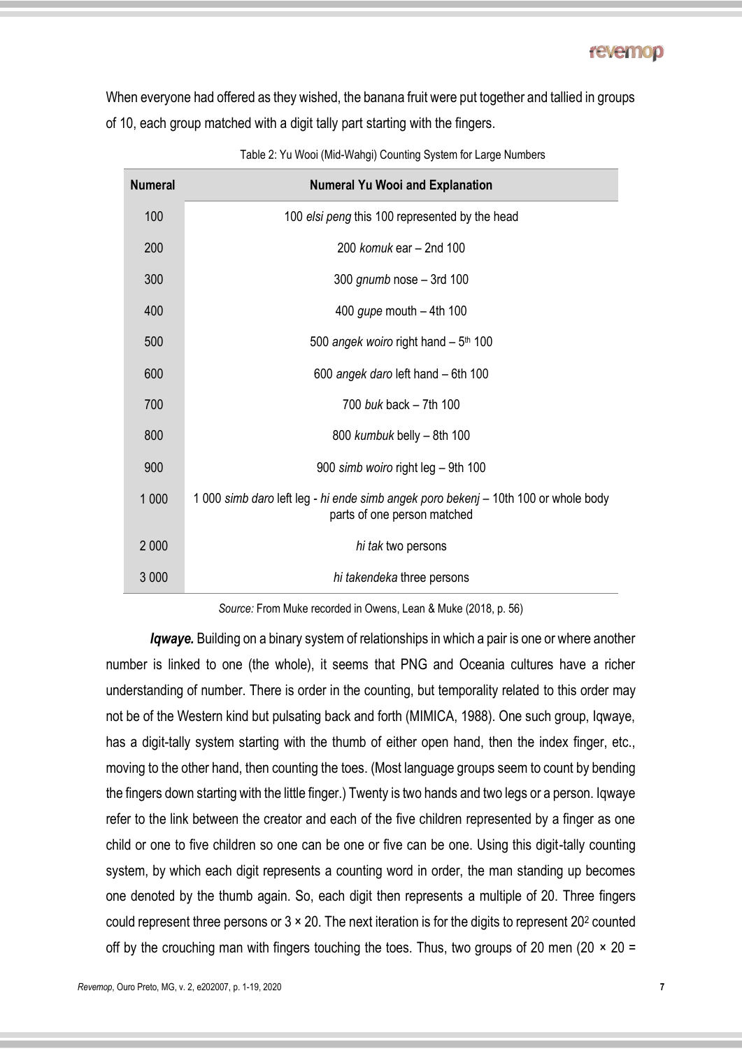When everyone had offered as they wished, the banana fruit were put together and tallied in groups of 10, each group matched with a digit tally part starting with the fingers.

| <b>Numeral</b> | <b>Numeral Yu Wooi and Explanation</b>                                                                            |
|----------------|-------------------------------------------------------------------------------------------------------------------|
| 100            | 100 elsi peng this 100 represented by the head                                                                    |
| 200            | 200 komuk ear $-$ 2nd 100                                                                                         |
| 300            | 300 gnumb nose $-$ 3rd 100                                                                                        |
| 400            | 400 gupe mouth $-$ 4th 100                                                                                        |
| 500            | 500 angek woiro right hand $-5$ <sup>th</sup> 100                                                                 |
| 600            | 600 angek daro left hand - 6th 100                                                                                |
| 700            | 700 buk back - 7th 100                                                                                            |
| 800            | 800 kumbuk belly - 8th 100                                                                                        |
| 900            | 900 simb woiro right leg - 9th 100                                                                                |
| 1 0 0 0        | 1 000 simb daro left leg - hi ende simb angek poro bekenj – 10th 100 or whole body<br>parts of one person matched |
| 2 0 0 0        | hi tak two persons                                                                                                |
| 3 0 0 0        | hi takendeka three persons                                                                                        |

Table 2: Yu Wooi (Mid-Wahgi) Counting System for Large Numbers

*Source:* From Muke recorded in Owens, Lean & Muke (2018, p. 56)

*Iqwaye.* Building on a binary system of relationships in which a pair is one or where another number is linked to one (the whole), it seems that PNG and Oceania cultures have a richer understanding of number. There is order in the counting, but temporality related to this order may not be of the Western kind but pulsating back and forth (MIMICA, 1988). One such group, Iqwaye, has a digit-tally system starting with the thumb of either open hand, then the index finger, etc., moving to the other hand, then counting the toes. (Most language groups seem to count by bending the fingers down starting with the little finger.) Twenty is two hands and two legs or a person. Iqwaye refer to the link between the creator and each of the five children represented by a finger as one child or one to five children so one can be one or five can be one. Using this digit-tally counting system, by which each digit represents a counting word in order, the man standing up becomes one denoted by the thumb again. So, each digit then represents a multiple of 20. Three fingers could represent three persons or  $3 \times 20$ . The next iteration is for the digits to represent  $20<sup>2</sup>$  counted off by the crouching man with fingers touching the toes. Thus, two groups of 20 men (20  $\times$  20 =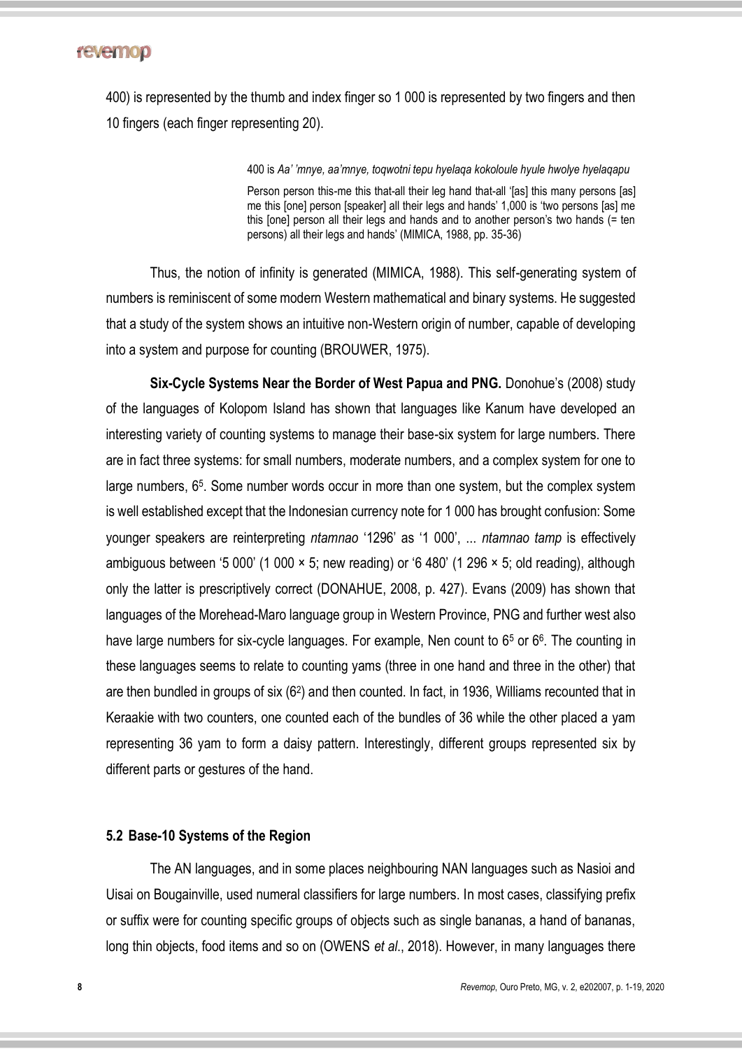400) is represented by the thumb and index finger so 1 000 is represented by two fingers and then 10 fingers (each finger representing 20).

400 is *Aa' 'mnye, aa'mnye, toqwotni tepu hyelaqa kokoloule hyule hwolye hyelaqapu*

Person person this-me this that-all their leg hand that-all 'fas] this many persons [as] me this [one] person [speaker] all their legs and hands' 1,000 is 'two persons [as] me this [one] person all their legs and hands and to another person's two hands (= ten persons) all their legs and hands' (MIMICA, 1988, pp. 35-36)

Thus, the notion of infinity is generated (MIMICA, 1988). This self-generating system of numbers is reminiscent of some modern Western mathematical and binary systems. He suggested that a study of the system shows an intuitive non-Western origin of number, capable of developing into a system and purpose for counting (BROUWER, 1975).

**Six-Cycle Systems Near the Border of West Papua and PNG.** Donohue's (2008) study of the languages of Kolopom Island has shown that languages like Kanum have developed an interesting variety of counting systems to manage their base-six system for large numbers. There are in fact three systems: for small numbers, moderate numbers, and a complex system for one to large numbers, 6<sup>5</sup>. Some number words occur in more than one system, but the complex system is well established except that the Indonesian currency note for 1 000 has brought confusion: Some younger speakers are reinterpreting *ntamnao* '1296' as '1 000', ... *ntamnao tamp* is effectively ambiguous between '5 000' (1 000 × 5; new reading) or '6 480' (1 296 × 5; old reading), although only the latter is prescriptively correct (DONAHUE, 2008, p. 427). Evans (2009) has shown that languages of the Morehead-Maro language group in Western Province, PNG and further west also have large numbers for six-cycle languages. For example, Nen count to 6<sup>5</sup> or 6<sup>6</sup>. The counting in these languages seems to relate to counting yams (three in one hand and three in the other) that are then bundled in groups of six (6<sup>2</sup>) and then counted. In fact, in 1936, Williams recounted that in Keraakie with two counters, one counted each of the bundles of 36 while the other placed a yam representing 36 yam to form a daisy pattern. Interestingly, different groups represented six by different parts or gestures of the hand.

#### **5.2 Base-10 Systems of the Region**

The AN languages, and in some places neighbouring NAN languages such as Nasioi and Uisai on Bougainville, used numeral classifiers for large numbers. In most cases, classifying prefix or suffix were for counting specific groups of objects such as single bananas, a hand of bananas, long thin objects, food items and so on (OWENS *et al*., 2018). However, in many languages there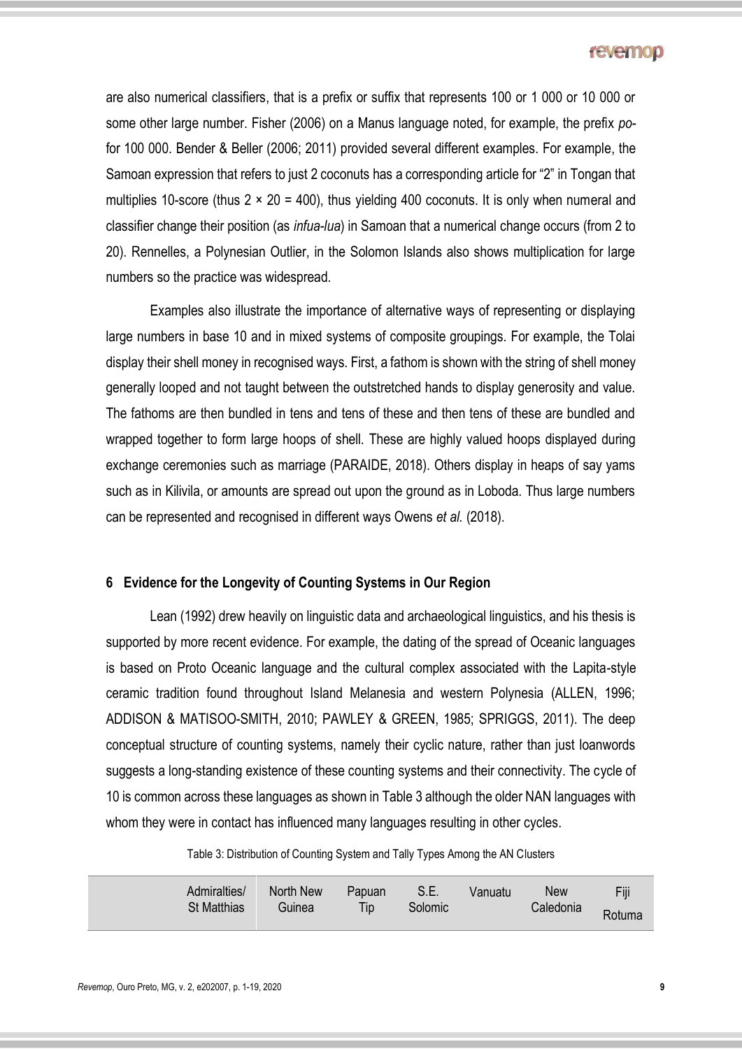are also numerical classifiers, that is a prefix or suffix that represents 100 or 1 000 or 10 000 or some other large number. Fisher (2006) on a Manus language noted, for example, the prefix *po*for 100 000. Bender & Beller (2006; 2011) provided several different examples. For example, the Samoan expression that refers to just 2 coconuts has a corresponding article for "2" in Tongan that multiplies 10-score (thus  $2 \times 20 = 400$ ), thus yielding 400 coconuts. It is only when numeral and classifier change their position (as *infua-lua*) in Samoan that a numerical change occurs (from 2 to 20). Rennelles, a Polynesian Outlier, in the Solomon Islands also shows multiplication for large numbers so the practice was widespread.

Examples also illustrate the importance of alternative ways of representing or displaying large numbers in base 10 and in mixed systems of composite groupings. For example, the Tolai display their shell money in recognised ways. First, a fathom is shown with the string of shell money generally looped and not taught between the outstretched hands to display generosity and value. The fathoms are then bundled in tens and tens of these and then tens of these are bundled and wrapped together to form large hoops of shell. These are highly valued hoops displayed during exchange ceremonies such as marriage (PARAIDE, 2018). Others display in heaps of say yams such as in Kilivila, or amounts are spread out upon the ground as in Loboda. Thus large numbers can be represented and recognised in different ways Owens *et al.* (2018).

### **6 Evidence for the Longevity of Counting Systems in Our Region**

Lean (1992) drew heavily on linguistic data and archaeological linguistics, and his thesis is supported by more recent evidence. For example, the dating of the spread of Oceanic languages is based on Proto Oceanic language and the cultural complex associated with the Lapita-style ceramic tradition found throughout Island Melanesia and western Polynesia (ALLEN, 1996; ADDISON & MATISOO-SMITH, 2010; PAWLEY & GREEN, 1985; SPRIGGS, 2011). The deep conceptual structure of counting systems, namely their cyclic nature, rather than just loanwords suggests a long-standing existence of these counting systems and their connectivity. The cycle of 10 is common across these languages as shown in Table 3 although the older NAN languages with whom they were in contact has influenced many languages resulting in other cycles.

Table 3: Distribution of Counting System and Tally Types Among the AN Clusters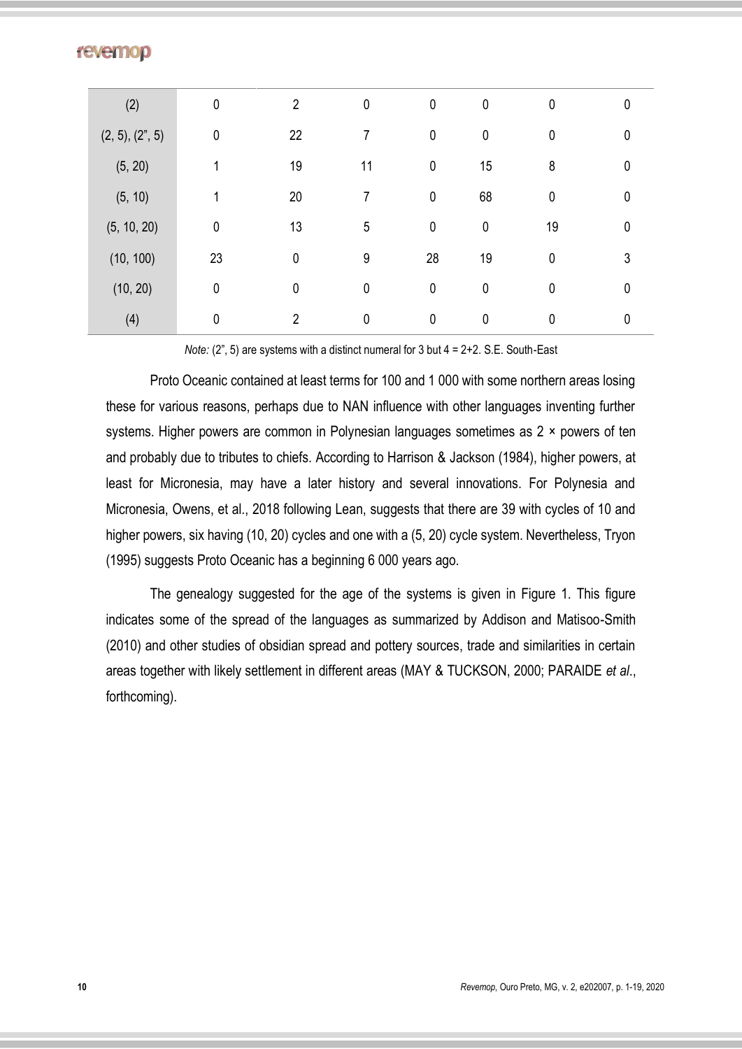| (2)            | $\mathbf 0$ | $\overline{2}$ | $\mathbf 0$ | $\pmb{0}$   | $\mathbf 0$ | $\mathbf 0$ | 0 |
|----------------|-------------|----------------|-------------|-------------|-------------|-------------|---|
| (2, 5), (2, 5) | $\mathbf 0$ | 22             | 7           | $\pmb{0}$   | $\pmb{0}$   | $\mathbf 0$ | 0 |
| (5, 20)        |             | 19             | 11          | $\pmb{0}$   | 15          | 8           | 0 |
| (5, 10)        | 1           | 20             | 7           | $\pmb{0}$   | 68          | $\mathbf 0$ | 0 |
| (5, 10, 20)    | $\mathbf 0$ | 13             | 5           | $\pmb{0}$   | $\mathbf 0$ | 19          | 0 |
| (10, 100)      | 23          | $\pmb{0}$      | 9           | 28          | 19          | $\mathbf 0$ | 3 |
| (10, 20)       | 0           | 0              | $\mathbf 0$ | $\pmb{0}$   | $\mathbf 0$ | $\mathbf 0$ | 0 |
| (4)            | 0           | $\overline{2}$ | $\mathbf 0$ | $\mathbf 0$ | $\mathbf 0$ | 0           | 0 |

*Note:* (2", 5) are systems with a distinct numeral for 3 but  $4 = 2 + 2$ . S.E. South-East

Proto Oceanic contained at least terms for 100 and 1 000 with some northern areas losing these for various reasons, perhaps due to NAN influence with other languages inventing further systems. Higher powers are common in Polynesian languages sometimes as 2 × powers of ten and probably due to tributes to chiefs. According to Harrison & Jackson (1984), higher powers, at least for Micronesia, may have a later history and several innovations. For Polynesia and Micronesia, Owens, et al., 2018 following Lean, suggests that there are 39 with cycles of 10 and higher powers, six having (10, 20) cycles and one with a (5, 20) cycle system. Nevertheless, Tryon (1995) suggests Proto Oceanic has a beginning 6 000 years ago.

The genealogy suggested for the age of the systems is given in Figure 1. This figure indicates some of the spread of the languages as summarized by Addison and Matisoo-Smith (2010) and other studies of obsidian spread and pottery sources, trade and similarities in certain areas together with likely settlement in different areas (MAY & TUCKSON, 2000; PARAIDE *et al*., forthcoming).

**revemop**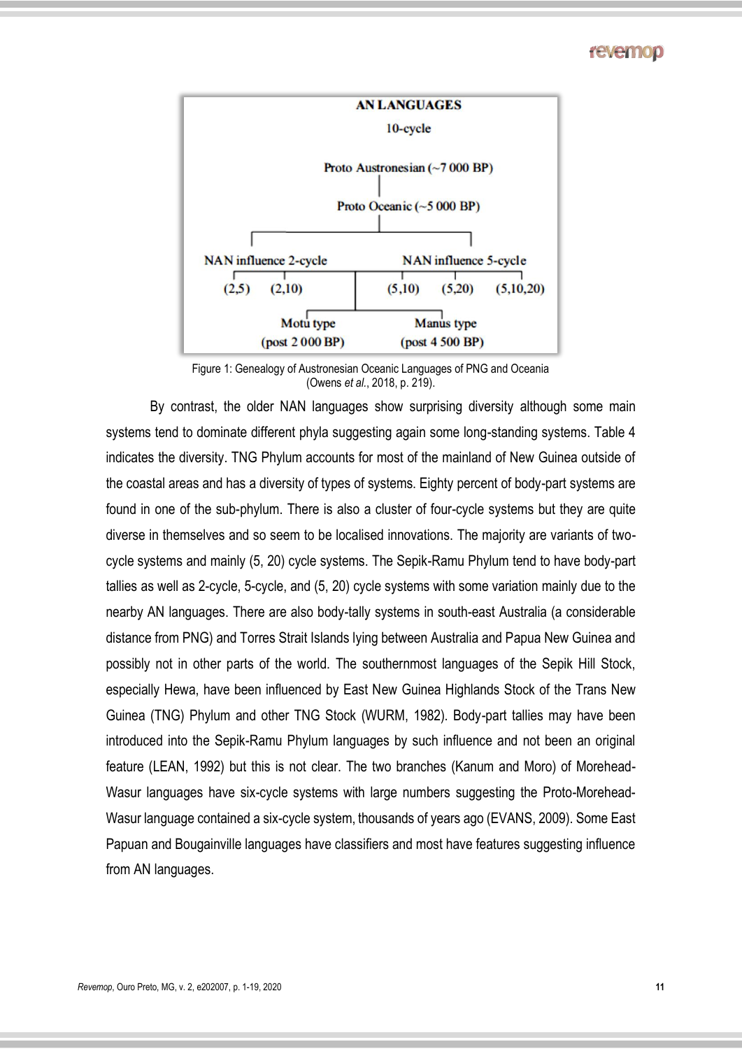

Figure 1: Genealogy of Austronesian Oceanic Languages of PNG and Oceania (Owens *et al.*, 2018, p. 219).

By contrast, the older NAN languages show surprising diversity although some main systems tend to dominate different phyla suggesting again some long-standing systems. Table 4 indicates the diversity. TNG Phylum accounts for most of the mainland of New Guinea outside of the coastal areas and has a diversity of types of systems. Eighty percent of body-part systems are found in one of the sub-phylum. There is also a cluster of four-cycle systems but they are quite diverse in themselves and so seem to be localised innovations. The majority are variants of twocycle systems and mainly (5, 20) cycle systems. The Sepik-Ramu Phylum tend to have body-part tallies as well as 2-cycle, 5-cycle, and (5, 20) cycle systems with some variation mainly due to the nearby AN languages. There are also body-tally systems in south-east Australia (a considerable distance from PNG) and Torres Strait Islands lying between Australia and Papua New Guinea and possibly not in other parts of the world. The southernmost languages of the Sepik Hill Stock, especially Hewa, have been influenced by East New Guinea Highlands Stock of the Trans New Guinea (TNG) Phylum and other TNG Stock (WURM, 1982). Body-part tallies may have been introduced into the Sepik-Ramu Phylum languages by such influence and not been an original feature (LEAN, 1992) but this is not clear. The two branches (Kanum and Moro) of Morehead-Wasur languages have six-cycle systems with large numbers suggesting the Proto-Morehead-Wasur language contained a six-cycle system, thousands of years ago (EVANS, 2009). Some East Papuan and Bougainville languages have classifiers and most have features suggesting influence from AN languages.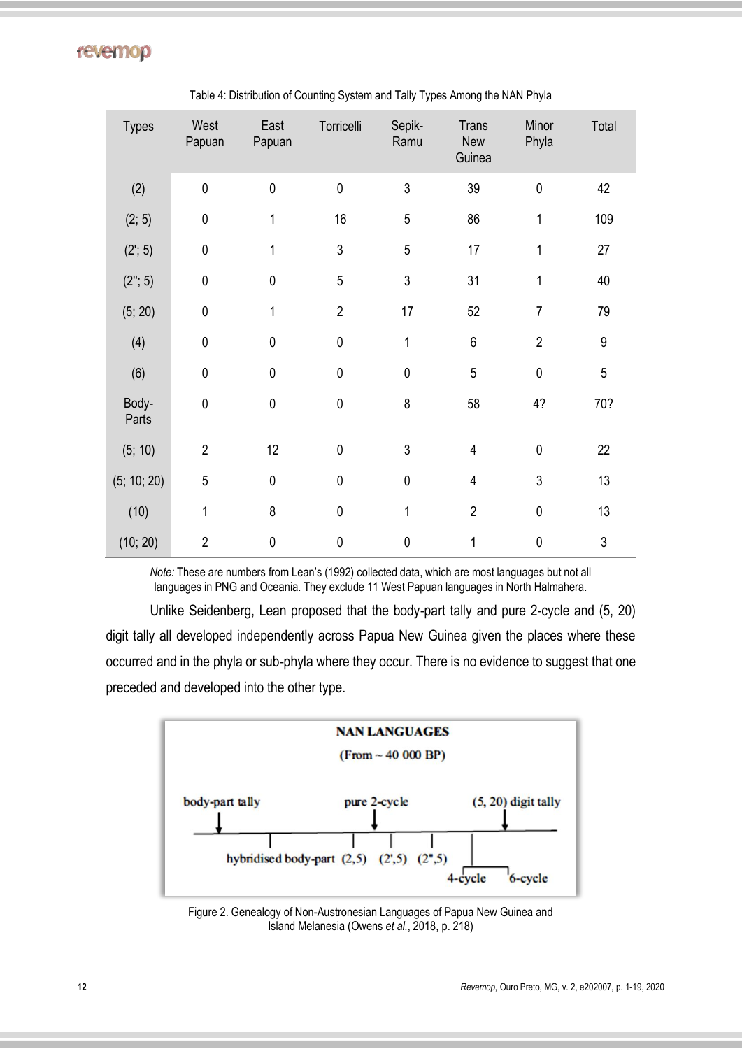| <b>Types</b>   | West<br>Papuan | East<br>Papuan | Torricelli     | Sepik-<br>Ramu | <b>Trans</b><br>New<br>Guinea | Minor<br>Phyla | Total            |
|----------------|----------------|----------------|----------------|----------------|-------------------------------|----------------|------------------|
| (2)            | $\pmb{0}$      | 0              | $\mathbf{0}$   | $\mathfrak{Z}$ | 39                            | $\mathbf 0$    | 42               |
| (2; 5)         | $\mathbf 0$    | 1              | 16             | 5              | 86                            | 1              | 109              |
| (2; 5)         | $\pmb{0}$      | 1              | 3              | 5              | 17                            | 1              | 27               |
| (2"; 5)        | $\pmb{0}$      | 0              | 5              | $\sqrt{3}$     | 31                            | 1              | 40               |
| (5; 20)        | $\pmb{0}$      | 1              | $\overline{2}$ | 17             | 52                            | $\overline{7}$ | 79               |
| (4)            | $\mathbf 0$    | $\mathbf 0$    | $\mathbf 0$    | 1              | $\,6$                         | $\overline{2}$ | $\boldsymbol{9}$ |
| (6)            | $\pmb{0}$      | $\pmb{0}$      | $\pmb{0}$      | $\pmb{0}$      | 5                             | $\mathbf 0$    | 5                |
| Body-<br>Parts | $\pmb{0}$      | 0              | $\pmb{0}$      | 8              | 58                            | 4?             | 70?              |
| (5; 10)        | $\overline{2}$ | 12             | $\mathbf{0}$   | $\sqrt{3}$     | $\overline{4}$                | $\mathbf 0$    | 22               |
| (5; 10; 20)    | $\overline{5}$ | $\pmb{0}$      | $\pmb{0}$      | $\pmb{0}$      | $\overline{4}$                | 3              | 13               |
| (10)           | 1              | 8              | $\pmb{0}$      | 1              | $\overline{2}$                | $\mathbf 0$    | 13               |
| (10; 20)       | $\overline{2}$ | $\pmb{0}$      | $\mathbf 0$    | $\pmb{0}$      | 1                             | $\pmb{0}$      | 3                |

Table 4: Distribution of Counting System and Tally Types Among the NAN Phyla

*Note:* These are numbers from Lean's (1992) collected data, which are most languages but not all languages in PNG and Oceania. They exclude 11 West Papuan languages in North Halmahera.

Unlike Seidenberg, Lean proposed that the body-part tally and pure 2-cycle and (5, 20) digit tally all developed independently across Papua New Guinea given the places where these occurred and in the phyla or sub-phyla where they occur. There is no evidence to suggest that one preceded and developed into the other type.



Figure 2. Genealogy of Non-Austronesian Languages of Papua New Guinea and Island Melanesia (Owens *et al.*, 2018, p. 218)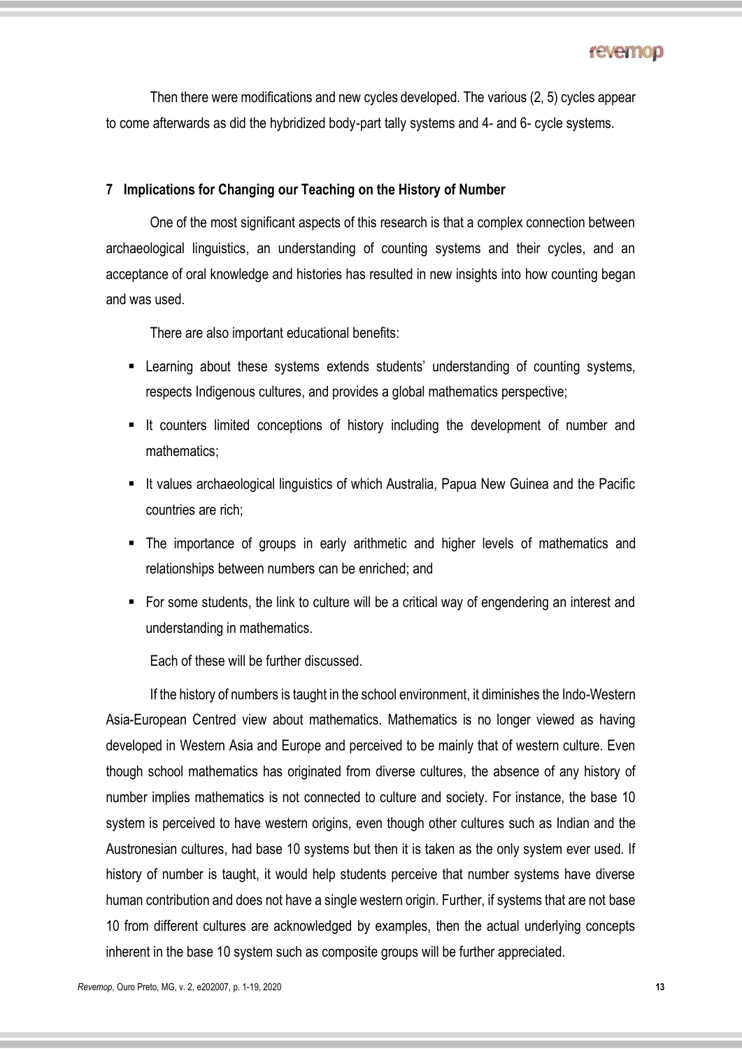Then there were modifications and new cycles developed. The various (2, 5) cycles appear to come afterwards as did the hybridized body-part tally systems and 4- and 6- cycle systems.

#### **7 Implications for Changing our Teaching on the History of Number**

One of the most significant aspects of this research is that a complex connection between archaeological linguistics, an understanding of counting systems and their cycles, and an acceptance of oral knowledge and histories has resulted in new insights into how counting began and was used.

There are also important educational benefits:

- Learning about these systems extends students' understanding of counting systems, respects Indigenous cultures, and provides a global mathematics perspective;
- It counters limited conceptions of history including the development of number and mathematics;
- It values archaeological linguistics of which Australia, Papua New Guinea and the Pacific countries are rich;
- The importance of groups in early arithmetic and higher levels of mathematics and relationships between numbers can be enriched; and
- For some students, the link to culture will be a critical way of engendering an interest and understanding in mathematics.

Each of these will be further discussed.

If the history of numbers is taught in the school environment, it diminishes the Indo-Western Asia-European Centred view about mathematics. Mathematics is no longer viewed as having developed in Western Asia and Europe and perceived to be mainly that of western culture. Even though school mathematics has originated from diverse cultures, the absence of any history of number implies mathematics is not connected to culture and society. For instance, the base 10 system is perceived to have western origins, even though other cultures such as Indian and the Austronesian cultures, had base 10 systems but then it is taken as the only system ever used. If history of number is taught, it would help students perceive that number systems have diverse human contribution and does not have a single western origin. Further, if systems that are not base 10 from different cultures are acknowledged by examples, then the actual underlying concepts inherent in the base 10 system such as composite groups will be further appreciated.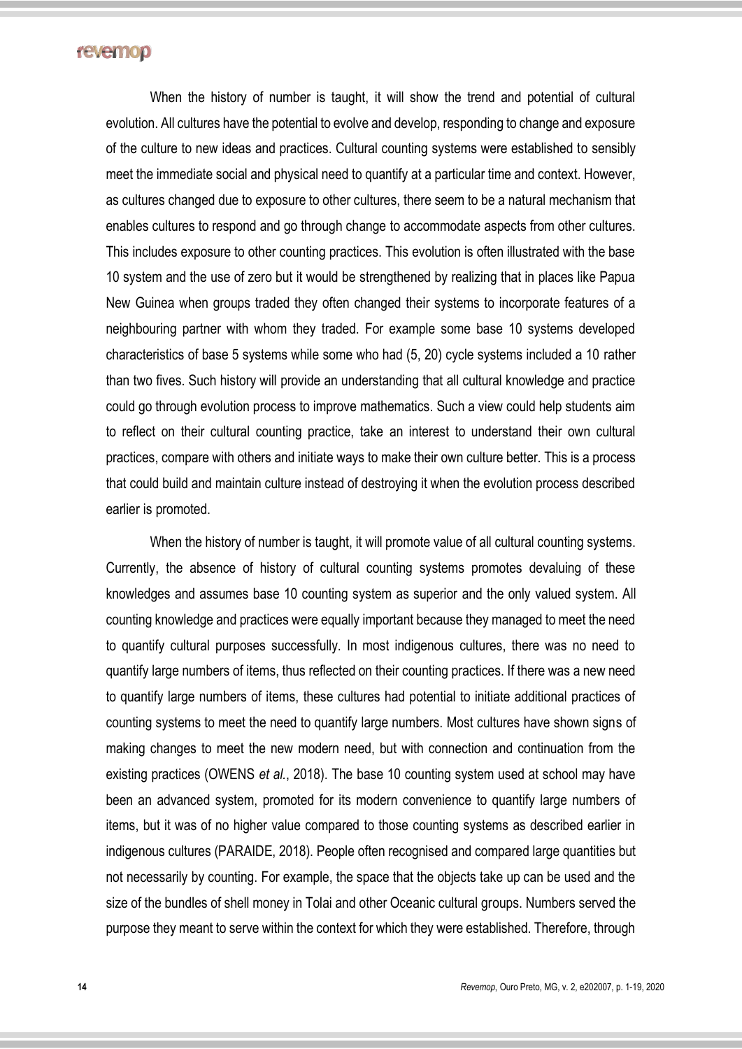When the history of number is taught, it will show the trend and potential of cultural evolution. All cultures have the potential to evolve and develop, responding to change and exposure of the culture to new ideas and practices. Cultural counting systems were established to sensibly meet the immediate social and physical need to quantify at a particular time and context. However, as cultures changed due to exposure to other cultures, there seem to be a natural mechanism that enables cultures to respond and go through change to accommodate aspects from other cultures. This includes exposure to other counting practices. This evolution is often illustrated with the base 10 system and the use of zero but it would be strengthened by realizing that in places like Papua New Guinea when groups traded they often changed their systems to incorporate features of a neighbouring partner with whom they traded. For example some base 10 systems developed characteristics of base 5 systems while some who had (5, 20) cycle systems included a 10 rather than two fives. Such history will provide an understanding that all cultural knowledge and practice could go through evolution process to improve mathematics. Such a view could help students aim to reflect on their cultural counting practice, take an interest to understand their own cultural practices, compare with others and initiate ways to make their own culture better. This is a process that could build and maintain culture instead of destroying it when the evolution process described earlier is promoted.

When the history of number is taught, it will promote value of all cultural counting systems. Currently, the absence of history of cultural counting systems promotes devaluing of these knowledges and assumes base 10 counting system as superior and the only valued system. All counting knowledge and practices were equally important because they managed to meet the need to quantify cultural purposes successfully. In most indigenous cultures, there was no need to quantify large numbers of items, thus reflected on their counting practices. If there was a new need to quantify large numbers of items, these cultures had potential to initiate additional practices of counting systems to meet the need to quantify large numbers. Most cultures have shown signs of making changes to meet the new modern need, but with connection and continuation from the existing practices (OWENS *et al.*, 2018). The base 10 counting system used at school may have been an advanced system, promoted for its modern convenience to quantify large numbers of items, but it was of no higher value compared to those counting systems as described earlier in indigenous cultures (PARAIDE, 2018). People often recognised and compared large quantities but not necessarily by counting. For example, the space that the objects take up can be used and the size of the bundles of shell money in Tolai and other Oceanic cultural groups. Numbers served the purpose they meant to serve within the context for which they were established. Therefore, through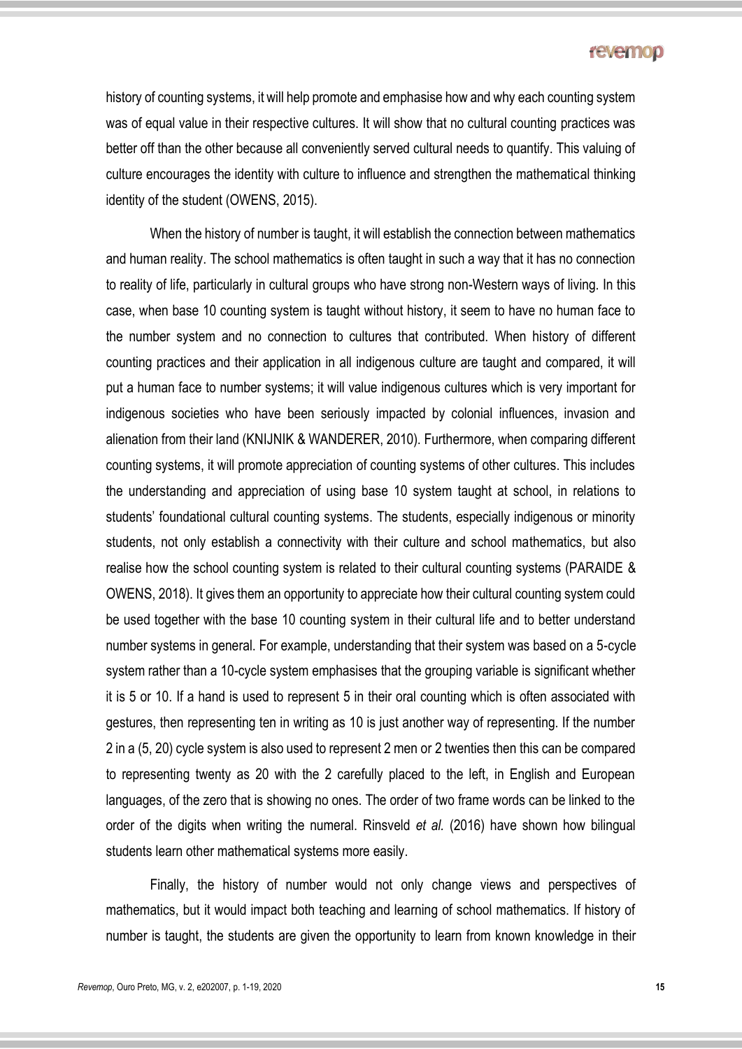history of counting systems, it will help promote and emphasise how and why each counting system was of equal value in their respective cultures. It will show that no cultural counting practices was better off than the other because all conveniently served cultural needs to quantify. This valuing of culture encourages the identity with culture to influence and strengthen the mathematical thinking identity of the student (OWENS, 2015).

When the history of number is taught, it will establish the connection between mathematics and human reality. The school mathematics is often taught in such a way that it has no connection to reality of life, particularly in cultural groups who have strong non-Western ways of living. In this case, when base 10 counting system is taught without history, it seem to have no human face to the number system and no connection to cultures that contributed. When history of different counting practices and their application in all indigenous culture are taught and compared, it will put a human face to number systems; it will value indigenous cultures which is very important for indigenous societies who have been seriously impacted by colonial influences, invasion and alienation from their land (KNIJNIK & WANDERER, 2010). Furthermore, when comparing different counting systems, it will promote appreciation of counting systems of other cultures. This includes the understanding and appreciation of using base 10 system taught at school, in relations to students' foundational cultural counting systems. The students, especially indigenous or minority students, not only establish a connectivity with their culture and school mathematics, but also realise how the school counting system is related to their cultural counting systems (PARAIDE & OWENS, 2018). It gives them an opportunity to appreciate how their cultural counting system could be used together with the base 10 counting system in their cultural life and to better understand number systems in general. For example, understanding that their system was based on a 5-cycle system rather than a 10-cycle system emphasises that the grouping variable is significant whether it is 5 or 10. If a hand is used to represent 5 in their oral counting which is often associated with gestures, then representing ten in writing as 10 is just another way of representing. If the number 2 in a (5, 20) cycle system is also used to represent 2 men or 2 twenties then this can be compared to representing twenty as 20 with the 2 carefully placed to the left, in English and European languages, of the zero that is showing no ones. The order of two frame words can be linked to the order of the digits when writing the numeral. Rinsveld *et al.* (2016) have shown how bilingual students learn other mathematical systems more easily.

Finally, the history of number would not only change views and perspectives of mathematics, but it would impact both teaching and learning of school mathematics. If history of number is taught, the students are given the opportunity to learn from known knowledge in their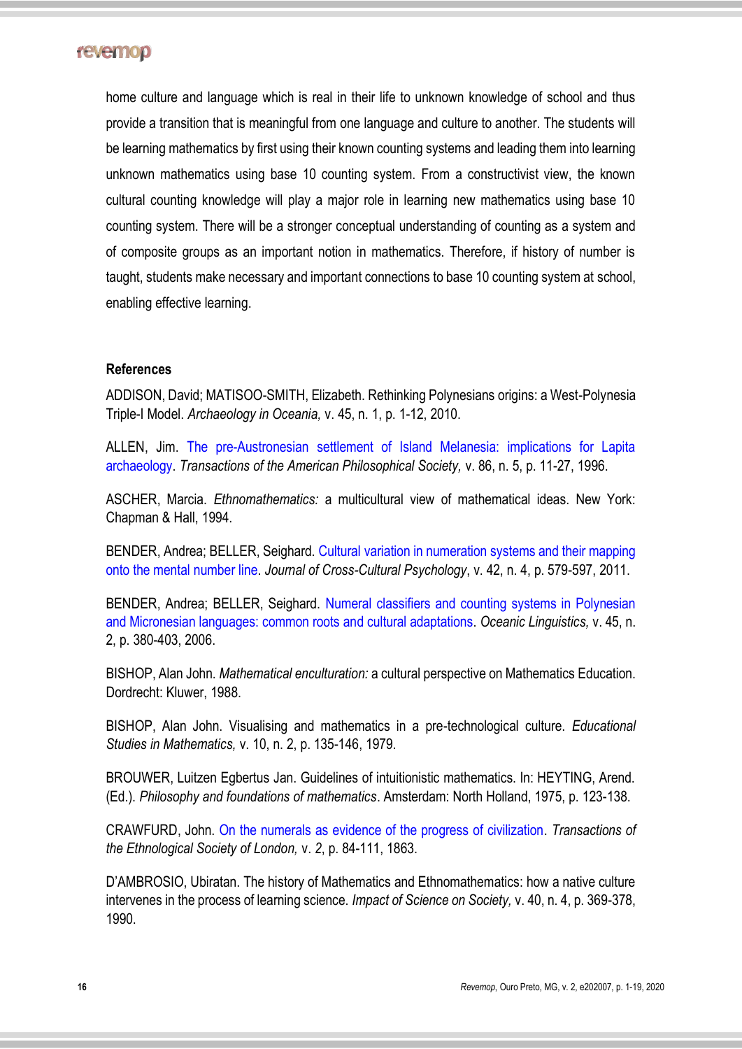

home culture and language which is real in their life to unknown knowledge of school and thus provide a transition that is meaningful from one language and culture to another. The students will be learning mathematics by first using their known counting systems and leading them into learning unknown mathematics using base 10 counting system. From a constructivist view, the known cultural counting knowledge will play a major role in learning new mathematics using base 10 counting system. There will be a stronger conceptual understanding of counting as a system and of composite groups as an important notion in mathematics. Therefore, if history of number is taught, students make necessary and important connections to base 10 counting system at school, enabling effective learning.

#### **References**

ADDISON, David; MATISOO-SMITH, Elizabeth. Rethinking Polynesians origins: a West-Polynesia Triple-I Model. *Archaeology in Oceania,* v. 45, n. 1, p. 1-12, 2010.

ALLEN, Jim. [The pre-Austronesian settlement of Island Melanesia: implications for Lapita](https://www.jstor.org/stable/1006618)  [archaeology.](https://www.jstor.org/stable/1006618) *Transactions of the American Philosophical Society,* v. 86, n. 5, p. 11-27, 1996.

ASCHER, Marcia. *Ethnomathematics:* a multicultural view of mathematical ideas. New York: Chapman & Hall, 1994.

BENDER, Andrea; BELLER, Seighard. [Cultural variation in numeration systems and their mapping](https://doi.org/10.1177%2F0022022111406631)  [onto the mental number line.](https://doi.org/10.1177%2F0022022111406631) *Journal of Cross-Cultural Psychology*, v. 42, n. 4, p. 579-597, 2011.

BENDER, Andrea; BELLER, Seighard. [Numeral classifiers and counting systems in Polynesian](https://www.jstor.org/stable/4499969)  [and Micronesian languages: common roots and cultural adaptations.](https://www.jstor.org/stable/4499969) *Oceanic Linguistics,* v. 45, n. 2, p. 380-403, 2006.

BISHOP, Alan John. *Mathematical enculturation:* a cultural perspective on Mathematics Education. Dordrecht: Kluwer, 1988.

BISHOP, Alan John. Visualising and mathematics in a pre-technological culture. *Educational Studies in Mathematics,* v. 10, n. 2, p. 135-146, 1979.

BROUWER, Luitzen Egbertus Jan. Guidelines of intuitionistic mathematics. In: HEYTING, Arend. (Ed.). *Philosophy and foundations of mathematics*. Amsterdam: North Holland, 1975, p. 123-138.

CRAWFURD, John. [On the numerals as evidence of the progress of civilization.](https://www.jstor.org/stable/3014307) *Transactions of the Ethnological Society of London,* v. *2*, p. 84-111, 1863.

D'AMBROSIO, Ubiratan. The history of Mathematics and Ethnomathematics: how a native culture intervenes in the process of learning science. *Impact of Science on Society,* v. 40, n. 4, p. 369-378, 1990.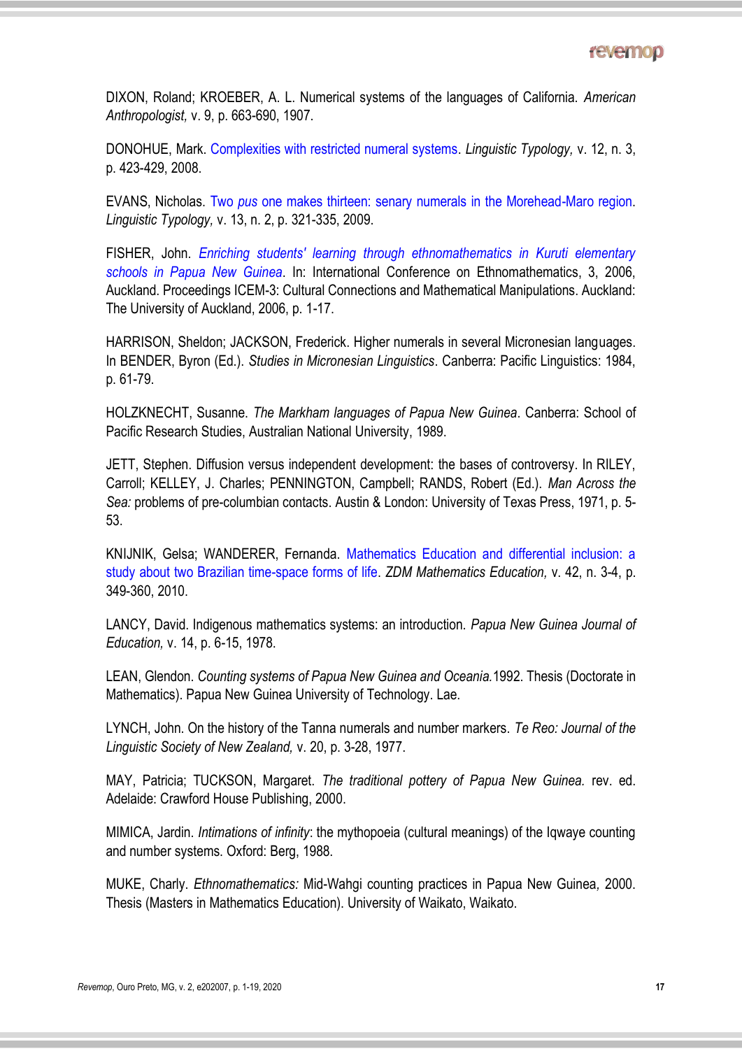DIXON, Roland; KROEBER, A. L. Numerical systems of the languages of California. *American Anthropologist,* v. 9, p. 663-690, 1907.

DONOHUE, Mark. [Complexities with restricted numeral systems.](https://doi.org/10.1515/LITY.2008.043) *Linguistic Typology,* v. 12, n. 3, p. 423-429, 2008.

EVANS, Nicholas. Two *pus* [one makes thirteen: senary numerals in the Morehead-Maro region.](https://doi.org/10.1515/LITY.2009.015) *Linguistic Typology,* v. 13, n. 2, p. 321-335, 2009.

FISHER, John. *[Enriching students' learning through ethnomathematics in Kuruti elementary](https://www.math.auckland.ac.nz/Events/2006/ICEM-3/3.Prez%20Not%20Given/Prez%20not%20given%20papers/Fisher-paper.pdf)  [schools in Papua New Guinea](https://www.math.auckland.ac.nz/Events/2006/ICEM-3/3.Prez%20Not%20Given/Prez%20not%20given%20papers/Fisher-paper.pdf)*. In: International Conference on Ethnomathematics, 3, 2006, Auckland. Proceedings ICEM-3: Cultural Connections and Mathematical Manipulations. Auckland: The University of Auckland, 2006, p. 1-17.

HARRISON, Sheldon; JACKSON, Frederick. Higher numerals in several Micronesian languages. In BENDER, Byron (Ed.). *Studies in Micronesian Linguistics*. Canberra: Pacific Linguistics: 1984, p. 61-79.

HOLZKNECHT, Susanne. *The Markham languages of Papua New Guinea*. Canberra: School of Pacific Research Studies, Australian National University, 1989.

JETT, Stephen. Diffusion versus independent development: the bases of controversy. In RILEY, Carroll; KELLEY, J. Charles; PENNINGTON, Campbell; RANDS, Robert (Ed.). *Man Across the Sea:* problems of pre-columbian contacts. Austin & London: University of Texas Press, 1971, p. 5- 53.

KNIJNIK, Gelsa; WANDERER, Fernanda. [Mathematics Education and differential inclusion: a](https://doi.org/10.1007/s11858-010-0247-8)  [study about two Brazilian time-space forms of life.](https://doi.org/10.1007/s11858-010-0247-8) *ZDM Mathematics Education,* v. 42, n. 3-4, p. 349-360, 2010.

LANCY, David. Indigenous mathematics systems: an introduction. *Papua New Guinea Journal of Education,* v. 14, p. 6-15, 1978.

LEAN, Glendon. *Counting systems of Papua New Guinea and Oceania.*1992. Thesis (Doctorate in Mathematics). Papua New Guinea University of Technology. Lae.

LYNCH, John. On the history of the Tanna numerals and number markers. *Te Reo: Journal of the Linguistic Society of New Zealand,* v. 20, p. 3-28, 1977.

MAY, Patricia; TUCKSON, Margaret. *The traditional pottery of Papua New Guinea.* rev. ed. Adelaide: Crawford House Publishing, 2000.

MIMICA, Jardin. *Intimations of infinity*: the mythopoeia (cultural meanings) of the Iqwaye counting and number systems. Oxford: Berg, 1988.

MUKE, Charly. *Ethnomathematics:* Mid-Wahgi counting practices in Papua New Guinea*,* 2000. Thesis (Masters in Mathematics Education). University of Waikato, Waikato.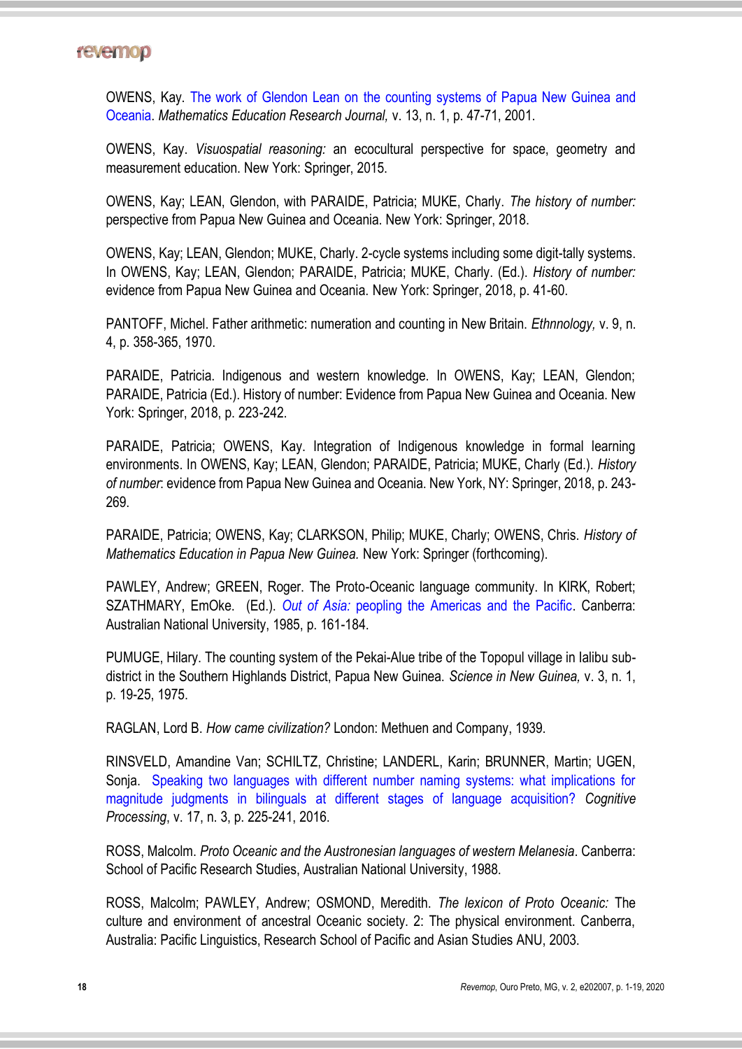OWENS, Kay. [The work of Glendon Lean on the counting systems of Papua New Guinea and](http://dx.doi.org/10.1007/BF03217105)  [Oceania.](http://dx.doi.org/10.1007/BF03217105) *Mathematics Education Research Journal,* v. 13, n. 1, p. 47-71, 2001.

OWENS, Kay. *Visuospatial reasoning:* an ecocultural perspective for space, geometry and measurement education. New York: Springer, 2015.

OWENS, Kay; LEAN, Glendon, with PARAIDE, Patricia; MUKE, Charly. *The history of number:*  perspective from Papua New Guinea and Oceania. New York: Springer, 2018.

OWENS, Kay; LEAN, Glendon; MUKE, Charly. 2-cycle systems including some digit-tally systems. In OWENS, Kay; LEAN, Glendon; PARAIDE, Patricia; MUKE, Charly. (Ed.). *History of number:*  evidence from Papua New Guinea and Oceania. New York: Springer, 2018, p. 41-60.

PANTOFF, Michel. Father arithmetic: numeration and counting in New Britain. *Ethnnology,* v. 9, n. 4, p. 358-365, 1970.

PARAIDE, Patricia. Indigenous and western knowledge. In OWENS, Kay; LEAN, Glendon; PARAIDE, Patricia (Ed.). History of number: Evidence from Papua New Guinea and Oceania. New York: Springer, 2018, p. 223-242.

PARAIDE, Patricia; OWENS, Kay. Integration of Indigenous knowledge in formal learning environments. In OWENS, Kay; LEAN, Glendon; PARAIDE, Patricia; MUKE, Charly (Ed.). *History of number*: evidence from Papua New Guinea and Oceania. New York, NY: Springer, 2018, p. 243- 269.

PARAIDE, Patricia; OWENS, Kay; CLARKSON, Philip; MUKE, Charly; OWENS, Chris. *History of Mathematics Education in Papua New Guinea.* New York: Springer (forthcoming).

PAWLEY, Andrew; GREEN, Roger. The Proto-Oceanic language community. In KIRK, Robert; SZATHMARY, EmOke. (Ed.). *Out of Asia:* [peopling the Americas and the Pacific.](https://openresearch-repository.anu.edu.au/bitstream/1885/132638/1/JPH_Out_of_Asia.pdf) Canberra: Australian National University, 1985, p. 161-184.

PUMUGE, Hilary. The counting system of the Pekai-Alue tribe of the Topopul village in Ialibu subdistrict in the Southern Highlands District, Papua New Guinea. *Science in New Guinea,* v. 3, n. 1, p. 19-25, 1975.

RAGLAN, Lord B. *How came civilization?* London: Methuen and Company, 1939.

RINSVELD, Amandine Van; SCHILTZ, Christine; LANDERL, Karin; BRUNNER, Martin; UGEN, Sonja. [Speaking two languages with different number naming systems: what implications for](https://doi.org/10.1007/s10339-016-0762-9)  magnitude judgments in bilinguals [at different stages of language acquisition?](https://doi.org/10.1007/s10339-016-0762-9) *Cognitive Processing*, v. 17, n. 3, p. 225-241, 2016.

ROSS, Malcolm. *Proto Oceanic and the Austronesian languages of western Melanesia*. Canberra: School of Pacific Research Studies, Australian National University, 1988.

ROSS, Malcolm; PAWLEY, Andrew; OSMOND, Meredith. *The lexicon of Proto Oceanic:* The culture and environment of ancestral Oceanic society. 2: The physical environment. Canberra, Australia: Pacific Linguistics, Research School of Pacific and Asian Studies ANU, 2003.